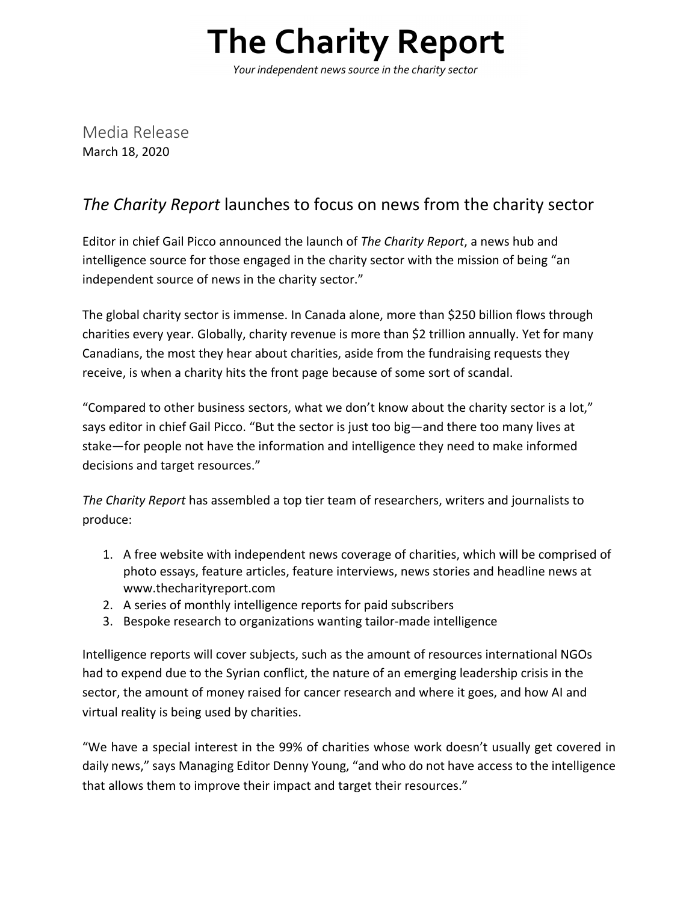## **The Charity Report**

Your independent news source in the charity sector

Media Release March 18, 2020

## *The Charity Report* launches to focus on news from the charity sector

Editor in chief Gail Picco announced the launch of *The Charity Report*, a news hub and intelligence source for those engaged in the charity sector with the mission of being "an independent source of news in the charity sector."

The global charity sector is immense. In Canada alone, more than \$250 billion flows through charities every year. Globally, charity revenue is more than \$2 trillion annually. Yet for many Canadians, the most they hear about charities, aside from the fundraising requests they receive, is when a charity hits the front page because of some sort of scandal.

"Compared to other business sectors, what we don't know about the charity sector is a lot," says editor in chief Gail Picco. "But the sector is just too big—and there too many lives at stake—for people not have the information and intelligence they need to make informed decisions and target resources."

*The Charity Report* has assembled a top tier team of researchers, writers and journalists to produce:

- 1. A free website with independent news coverage of charities, which will be comprised of photo essays, feature articles, feature interviews, news stories and headline news at www.thecharityreport.com
- 2. A series of monthly intelligence reports for paid subscribers
- 3. Bespoke research to organizations wanting tailor-made intelligence

Intelligence reports will cover subjects, such as the amount of resources international NGOs had to expend due to the Syrian conflict, the nature of an emerging leadership crisis in the sector, the amount of money raised for cancer research and where it goes, and how AI and virtual reality is being used by charities.

"We have a special interest in the 99% of charities whose work doesn't usually get covered in daily news," says Managing Editor Denny Young, "and who do not have access to the intelligence that allows them to improve their impact and target their resources."